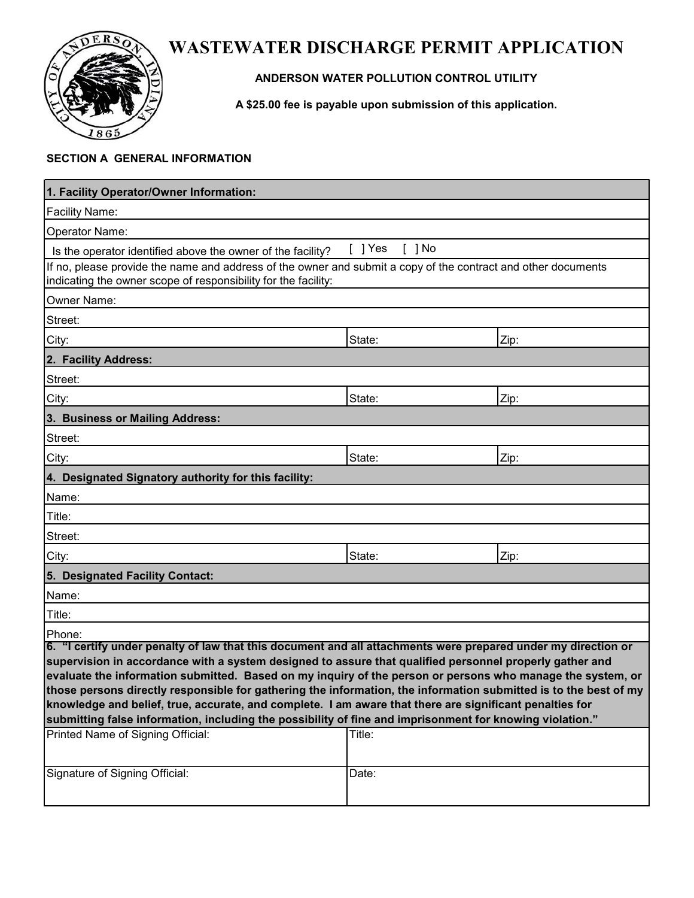

# **WASTEWATER DISCHARGE PERMIT APPLICATION**

### **ANDERSON WATER POLLUTION CONTROL UTILITY**

**A \$25.00 fee is payable upon submission of this application.**

#### **SECTION A GENERAL INFORMATION**

| 1. Facility Operator/Owner Information:                                                                                                                                                                                                                                                                                                                                                                                                                                                                                                                               |                       |      |
|-----------------------------------------------------------------------------------------------------------------------------------------------------------------------------------------------------------------------------------------------------------------------------------------------------------------------------------------------------------------------------------------------------------------------------------------------------------------------------------------------------------------------------------------------------------------------|-----------------------|------|
| <b>Facility Name:</b>                                                                                                                                                                                                                                                                                                                                                                                                                                                                                                                                                 |                       |      |
| Operator Name:                                                                                                                                                                                                                                                                                                                                                                                                                                                                                                                                                        |                       |      |
| Is the operator identified above the owner of the facility?                                                                                                                                                                                                                                                                                                                                                                                                                                                                                                           | $[$ ] Yes<br>$[$ ] No |      |
| If no, please provide the name and address of the owner and submit a copy of the contract and other documents<br>indicating the owner scope of responsibility for the facility:                                                                                                                                                                                                                                                                                                                                                                                       |                       |      |
| Owner Name:                                                                                                                                                                                                                                                                                                                                                                                                                                                                                                                                                           |                       |      |
| Street:                                                                                                                                                                                                                                                                                                                                                                                                                                                                                                                                                               |                       |      |
| City:                                                                                                                                                                                                                                                                                                                                                                                                                                                                                                                                                                 | State:                | Zip: |
| 2. Facility Address:                                                                                                                                                                                                                                                                                                                                                                                                                                                                                                                                                  |                       |      |
| Street:                                                                                                                                                                                                                                                                                                                                                                                                                                                                                                                                                               |                       |      |
| City:                                                                                                                                                                                                                                                                                                                                                                                                                                                                                                                                                                 | State:                | Zip: |
| 3. Business or Mailing Address:                                                                                                                                                                                                                                                                                                                                                                                                                                                                                                                                       |                       |      |
| Street:                                                                                                                                                                                                                                                                                                                                                                                                                                                                                                                                                               |                       |      |
| City:                                                                                                                                                                                                                                                                                                                                                                                                                                                                                                                                                                 | State:                | Zip: |
| 4. Designated Signatory authority for this facility:                                                                                                                                                                                                                                                                                                                                                                                                                                                                                                                  |                       |      |
| Name:                                                                                                                                                                                                                                                                                                                                                                                                                                                                                                                                                                 |                       |      |
| Title:                                                                                                                                                                                                                                                                                                                                                                                                                                                                                                                                                                |                       |      |
| Street:                                                                                                                                                                                                                                                                                                                                                                                                                                                                                                                                                               |                       |      |
| City:                                                                                                                                                                                                                                                                                                                                                                                                                                                                                                                                                                 | State:                | Zip: |
| 5. Designated Facility Contact:                                                                                                                                                                                                                                                                                                                                                                                                                                                                                                                                       |                       |      |
| Name:                                                                                                                                                                                                                                                                                                                                                                                                                                                                                                                                                                 |                       |      |
| Title:                                                                                                                                                                                                                                                                                                                                                                                                                                                                                                                                                                |                       |      |
| Phone:                                                                                                                                                                                                                                                                                                                                                                                                                                                                                                                                                                |                       |      |
| 6. "I certify under penalty of law that this document and all attachments were prepared under my direction or<br>supervision in accordance with a system designed to assure that qualified personnel properly gather and<br>evaluate the information submitted. Based on my inquiry of the person or persons who manage the system, or<br>those persons directly responsible for gathering the information, the information submitted is to the best of my<br>knowledge and belief, true, accurate, and complete. I am aware that there are significant penalties for |                       |      |
| submitting false information, including the possibility of fine and imprisonment for knowing violation."                                                                                                                                                                                                                                                                                                                                                                                                                                                              |                       |      |
| Printed Name of Signing Official:                                                                                                                                                                                                                                                                                                                                                                                                                                                                                                                                     | Title:                |      |
| Signature of Signing Official:                                                                                                                                                                                                                                                                                                                                                                                                                                                                                                                                        | Date:                 |      |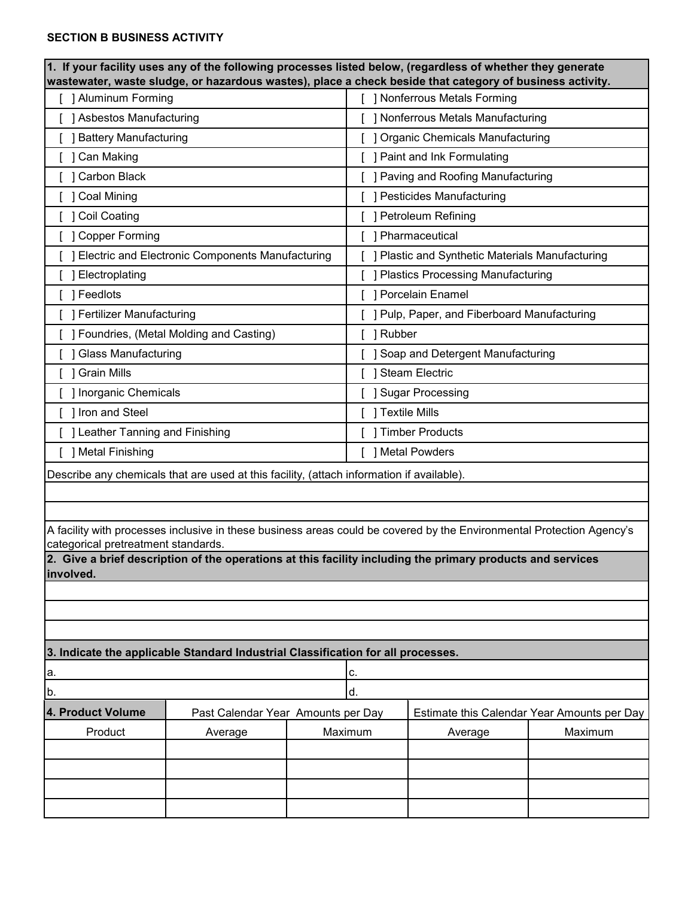#### **SECTION B BUSINESS ACTIVITY**

| $\vert$ 1. If your facility uses any of the following processes listed below, (regardless of whether they generate<br>wastewater, waste sludge, or hazardous wastes), place a check beside that category of business activity. |                                                           |         |                                                                                                            |                                             |  |
|--------------------------------------------------------------------------------------------------------------------------------------------------------------------------------------------------------------------------------|-----------------------------------------------------------|---------|------------------------------------------------------------------------------------------------------------|---------------------------------------------|--|
| [ ] Aluminum Forming                                                                                                                                                                                                           |                                                           |         | <b>Nonferrous Metals Forming</b>                                                                           |                                             |  |
| [ ] Asbestos Manufacturing                                                                                                                                                                                                     |                                                           |         | ] Nonferrous Metals Manufacturing                                                                          |                                             |  |
| [ ] Battery Manufacturing                                                                                                                                                                                                      |                                                           |         | ] Organic Chemicals Manufacturing                                                                          |                                             |  |
| [ ] Can Making                                                                                                                                                                                                                 |                                                           |         | ] Paint and Ink Formulating                                                                                |                                             |  |
| [ ] Carbon Black                                                                                                                                                                                                               |                                                           |         | ] Paving and Roofing Manufacturing                                                                         |                                             |  |
| [ ] Coal Mining                                                                                                                                                                                                                |                                                           |         | ] Pesticides Manufacturing                                                                                 |                                             |  |
| [ ] Coil Coating                                                                                                                                                                                                               |                                                           |         | ] Petroleum Refining                                                                                       |                                             |  |
| [ ] Copper Forming                                                                                                                                                                                                             |                                                           |         | ] Pharmaceutical                                                                                           |                                             |  |
|                                                                                                                                                                                                                                | <b>J Electric and Electronic Components Manufacturing</b> |         | ] Plastic and Synthetic Materials Manufacturing                                                            |                                             |  |
| ] Electroplating                                                                                                                                                                                                               |                                                           |         | <b>Plastics Processing Manufacturing</b>                                                                   |                                             |  |
| ] Feedlots                                                                                                                                                                                                                     |                                                           |         | <b>1 Porcelain Enamel</b>                                                                                  |                                             |  |
| [ ] Fertilizer Manufacturing                                                                                                                                                                                                   |                                                           |         | ] Pulp, Paper, and Fiberboard Manufacturing                                                                |                                             |  |
|                                                                                                                                                                                                                                | [ ] Foundries, (Metal Molding and Casting)                | Rubber  |                                                                                                            |                                             |  |
| [ ] Glass Manufacturing                                                                                                                                                                                                        |                                                           |         | ] Soap and Detergent Manufacturing                                                                         |                                             |  |
| [ ] Grain Mills                                                                                                                                                                                                                |                                                           |         | ] Steam Electric                                                                                           |                                             |  |
| [ ] Inorganic Chemicals                                                                                                                                                                                                        |                                                           |         | ] Sugar Processing                                                                                         |                                             |  |
| I Iron and Steel                                                                                                                                                                                                               |                                                           |         | ] Textile Mills                                                                                            |                                             |  |
| [ ] Leather Tanning and Finishing                                                                                                                                                                                              |                                                           |         | ] Timber Products                                                                                          |                                             |  |
| [ ] Metal Finishing                                                                                                                                                                                                            |                                                           |         | ] Metal Powders                                                                                            |                                             |  |
| Describe any chemicals that are used at this facility, (attach information if available).                                                                                                                                      |                                                           |         |                                                                                                            |                                             |  |
|                                                                                                                                                                                                                                |                                                           |         |                                                                                                            |                                             |  |
|                                                                                                                                                                                                                                |                                                           |         |                                                                                                            |                                             |  |
| A facility with processes inclusive in these business areas could be covered by the Environmental Protection Agency's<br>categorical pretreatment standards.                                                                   |                                                           |         |                                                                                                            |                                             |  |
| involved.                                                                                                                                                                                                                      |                                                           |         | 2. Give a brief description of the operations at this facility including the primary products and services |                                             |  |
|                                                                                                                                                                                                                                |                                                           |         |                                                                                                            |                                             |  |
|                                                                                                                                                                                                                                |                                                           |         |                                                                                                            |                                             |  |
|                                                                                                                                                                                                                                |                                                           |         |                                                                                                            |                                             |  |
| 3. Indicate the applicable Standard Industrial Classification for all processes.                                                                                                                                               |                                                           |         |                                                                                                            |                                             |  |
| a.<br>с.                                                                                                                                                                                                                       |                                                           |         |                                                                                                            |                                             |  |
| b.                                                                                                                                                                                                                             |                                                           | d.      |                                                                                                            |                                             |  |
| 4. Product Volume<br>Past Calendar Year Amounts per Day                                                                                                                                                                        |                                                           |         |                                                                                                            | Estimate this Calendar Year Amounts per Day |  |
| Product<br>Average                                                                                                                                                                                                             |                                                           | Maximum | Average                                                                                                    | Maximum                                     |  |
|                                                                                                                                                                                                                                |                                                           |         |                                                                                                            |                                             |  |
|                                                                                                                                                                                                                                |                                                           |         |                                                                                                            |                                             |  |
|                                                                                                                                                                                                                                |                                                           |         |                                                                                                            |                                             |  |
|                                                                                                                                                                                                                                |                                                           |         |                                                                                                            |                                             |  |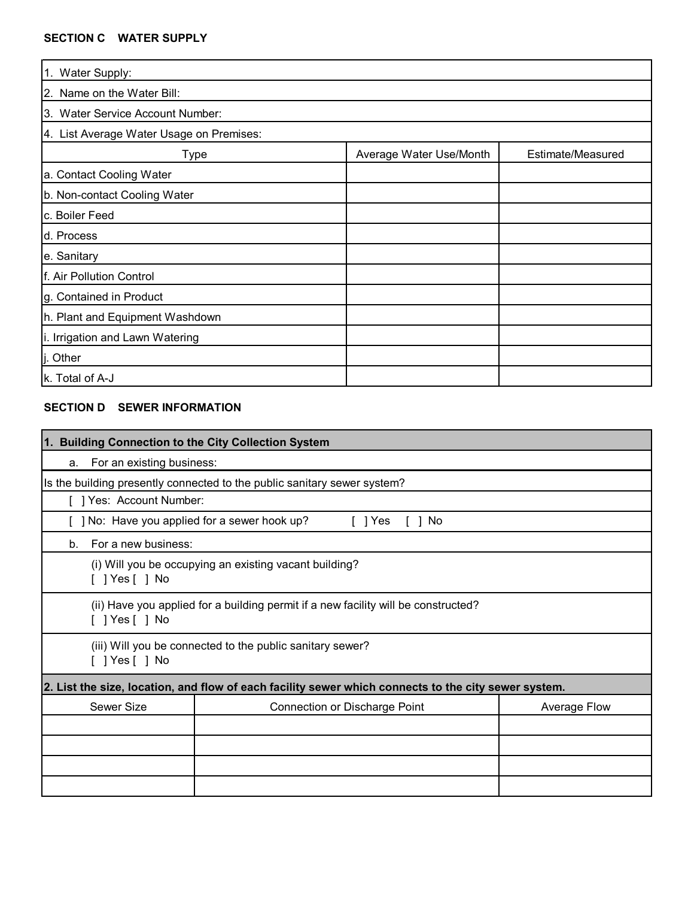#### **SECTION C WATER SUPPLY**

| 1. Water Supply:                         |                         |                   |  |
|------------------------------------------|-------------------------|-------------------|--|
| 2. Name on the Water Bill:               |                         |                   |  |
| 3. Water Service Account Number:         |                         |                   |  |
| 4. List Average Water Usage on Premises: |                         |                   |  |
| Type                                     | Average Water Use/Month | Estimate/Measured |  |
| a. Contact Cooling Water                 |                         |                   |  |
| b. Non-contact Cooling Water             |                         |                   |  |
| c. Boiler Feed                           |                         |                   |  |
| d. Process                               |                         |                   |  |
| e. Sanitary                              |                         |                   |  |
| f. Air Pollution Control                 |                         |                   |  |
| g. Contained in Product                  |                         |                   |  |
| h. Plant and Equipment Washdown          |                         |                   |  |
| i. Irrigation and Lawn Watering          |                         |                   |  |
| Other                                    |                         |                   |  |
| k. Total of A-J                          |                         |                   |  |

# **SECTION D SEWER INFORMATION**

| 1. Building Connection to the City Collection System                                                 |                                                                                    |                     |  |
|------------------------------------------------------------------------------------------------------|------------------------------------------------------------------------------------|---------------------|--|
| For an existing business:<br>a.                                                                      |                                                                                    |                     |  |
|                                                                                                      | Is the building presently connected to the public sanitary sewer system?           |                     |  |
| [ ] Yes: Account Number:                                                                             |                                                                                    |                     |  |
| [ ] No: Have you applied for a sewer hook up?<br>$\lceil$   Yes<br>No.                               |                                                                                    |                     |  |
| For a new business:<br>b.                                                                            |                                                                                    |                     |  |
| $[$ ] Yes $[$ ] No                                                                                   | (i) Will you be occupying an existing vacant building?                             |                     |  |
| [ ] Yes [ ] No                                                                                       | (ii) Have you applied for a building permit if a new facility will be constructed? |                     |  |
| (iii) Will you be connected to the public sanitary sewer?<br>$\lceil$   Yes $\lceil$   No            |                                                                                    |                     |  |
| 2. List the size, location, and flow of each facility sewer which connects to the city sewer system. |                                                                                    |                     |  |
| Sewer Size                                                                                           | Connection or Discharge Point                                                      | <b>Average Flow</b> |  |
|                                                                                                      |                                                                                    |                     |  |
|                                                                                                      |                                                                                    |                     |  |
|                                                                                                      |                                                                                    |                     |  |
|                                                                                                      |                                                                                    |                     |  |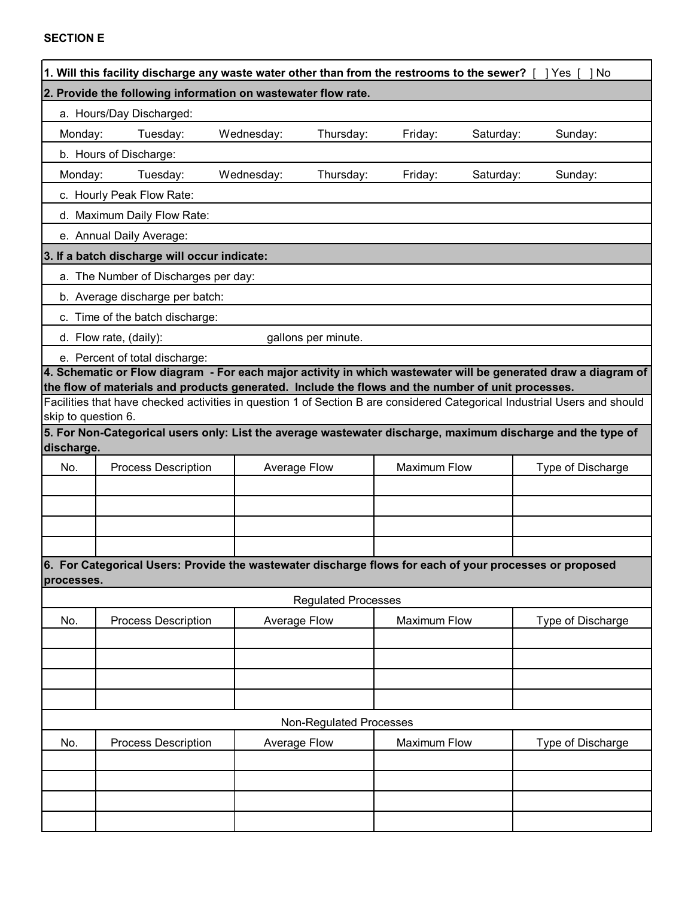| 2. Provide the following information on wastewater flow rate.<br>a. Hours/Day Discharged:<br>Wednesday:<br>Thursday:<br>Monday:<br>Tuesday:<br>Friday:<br>Saturday:<br>Sunday:<br>b. Hours of Discharge:<br>Wednesday:<br>Monday:<br>Tuesday:<br>Thursday:<br>Friday:<br>Saturday:<br>Sunday:<br>c. Hourly Peak Flow Rate:<br>d. Maximum Daily Flow Rate:<br>e. Annual Daily Average:<br>3. If a batch discharge will occur indicate: | 1. Will this facility discharge any waste water other than from the restrooms to the sewer? [ ] Yes [ |  |  | - 1 No |
|---------------------------------------------------------------------------------------------------------------------------------------------------------------------------------------------------------------------------------------------------------------------------------------------------------------------------------------------------------------------------------------------------------------------------------------|-------------------------------------------------------------------------------------------------------|--|--|--------|
|                                                                                                                                                                                                                                                                                                                                                                                                                                       |                                                                                                       |  |  |        |
|                                                                                                                                                                                                                                                                                                                                                                                                                                       |                                                                                                       |  |  |        |
|                                                                                                                                                                                                                                                                                                                                                                                                                                       |                                                                                                       |  |  |        |
|                                                                                                                                                                                                                                                                                                                                                                                                                                       |                                                                                                       |  |  |        |
|                                                                                                                                                                                                                                                                                                                                                                                                                                       |                                                                                                       |  |  |        |
|                                                                                                                                                                                                                                                                                                                                                                                                                                       |                                                                                                       |  |  |        |
|                                                                                                                                                                                                                                                                                                                                                                                                                                       |                                                                                                       |  |  |        |
|                                                                                                                                                                                                                                                                                                                                                                                                                                       |                                                                                                       |  |  |        |
|                                                                                                                                                                                                                                                                                                                                                                                                                                       |                                                                                                       |  |  |        |
|                                                                                                                                                                                                                                                                                                                                                                                                                                       | a. The Number of Discharges per day:                                                                  |  |  |        |
| b. Average discharge per batch:                                                                                                                                                                                                                                                                                                                                                                                                       |                                                                                                       |  |  |        |
| c. Time of the batch discharge:                                                                                                                                                                                                                                                                                                                                                                                                       |                                                                                                       |  |  |        |
| d. Flow rate, (daily):<br>gallons per minute.                                                                                                                                                                                                                                                                                                                                                                                         |                                                                                                       |  |  |        |
| e. Percent of total discharge:                                                                                                                                                                                                                                                                                                                                                                                                        |                                                                                                       |  |  |        |
| 4. Schematic or Flow diagram - For each major activity in which wastewater will be generated draw a diagram of<br>the flow of materials and products generated. Include the flows and the number of unit processes.                                                                                                                                                                                                                   |                                                                                                       |  |  |        |
| Facilities that have checked activities in question 1 of Section B are considered Categorical Industrial Users and should                                                                                                                                                                                                                                                                                                             |                                                                                                       |  |  |        |
| skip to question 6.                                                                                                                                                                                                                                                                                                                                                                                                                   |                                                                                                       |  |  |        |
| 5. For Non-Categorical users only: List the average wastewater discharge, maximum discharge and the type of<br>discharge.                                                                                                                                                                                                                                                                                                             |                                                                                                       |  |  |        |
| <b>Process Description</b><br>Average Flow<br><b>Maximum Flow</b><br>Type of Discharge<br>No.                                                                                                                                                                                                                                                                                                                                         |                                                                                                       |  |  |        |
|                                                                                                                                                                                                                                                                                                                                                                                                                                       |                                                                                                       |  |  |        |
|                                                                                                                                                                                                                                                                                                                                                                                                                                       |                                                                                                       |  |  |        |
|                                                                                                                                                                                                                                                                                                                                                                                                                                       |                                                                                                       |  |  |        |
|                                                                                                                                                                                                                                                                                                                                                                                                                                       |                                                                                                       |  |  |        |
| 6. For Categorical Users: Provide the wastewater discharge flows for each of your processes or proposed                                                                                                                                                                                                                                                                                                                               |                                                                                                       |  |  |        |
| processes.                                                                                                                                                                                                                                                                                                                                                                                                                            |                                                                                                       |  |  |        |
| <b>Regulated Processes</b>                                                                                                                                                                                                                                                                                                                                                                                                            |                                                                                                       |  |  |        |
| Average Flow<br><b>Maximum Flow</b><br>No.<br><b>Process Description</b><br>Type of Discharge                                                                                                                                                                                                                                                                                                                                         |                                                                                                       |  |  |        |
|                                                                                                                                                                                                                                                                                                                                                                                                                                       |                                                                                                       |  |  |        |
|                                                                                                                                                                                                                                                                                                                                                                                                                                       |                                                                                                       |  |  |        |
|                                                                                                                                                                                                                                                                                                                                                                                                                                       |                                                                                                       |  |  |        |
|                                                                                                                                                                                                                                                                                                                                                                                                                                       |                                                                                                       |  |  |        |
| Non-Regulated Processes                                                                                                                                                                                                                                                                                                                                                                                                               |                                                                                                       |  |  |        |
| Average Flow<br>No.<br><b>Process Description</b><br>Maximum Flow<br>Type of Discharge                                                                                                                                                                                                                                                                                                                                                |                                                                                                       |  |  |        |
|                                                                                                                                                                                                                                                                                                                                                                                                                                       |                                                                                                       |  |  |        |
|                                                                                                                                                                                                                                                                                                                                                                                                                                       |                                                                                                       |  |  |        |
|                                                                                                                                                                                                                                                                                                                                                                                                                                       |                                                                                                       |  |  |        |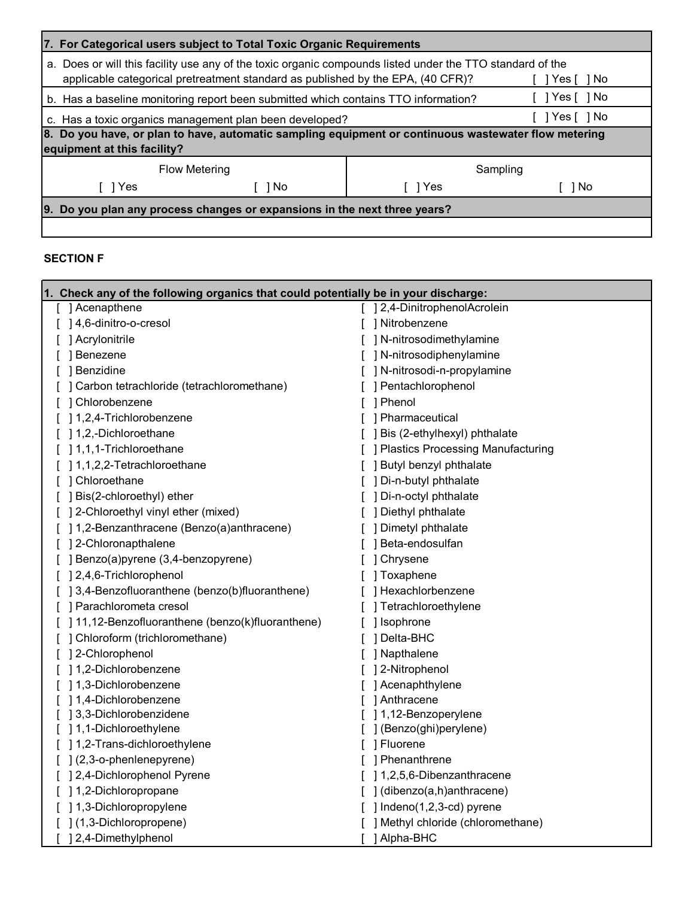| For Categorical users subject to Total Toxic Organic Requirements<br>I7.                                                                                                                                   |      |       |        |
|------------------------------------------------------------------------------------------------------------------------------------------------------------------------------------------------------------|------|-------|--------|
| a. Does or will this facility use any of the toxic organic compounds listed under the TTO standard of the<br>applicable categorical pretreatment standard as published by the EPA, (40 CFR)?<br>Yes [ ] No |      |       |        |
| Yes[]No<br>b. Has a baseline monitoring report been submitted which contains TTO information?                                                                                                              |      |       |        |
| Yes [   No<br>c. Has a toxic organics management plan been developed?                                                                                                                                      |      |       |        |
| 8. Do you have, or plan to have, automatic sampling equipment or continuous wastewater flow metering<br>equipment at this facility?                                                                        |      |       |        |
| Flow Metering<br>Sampling                                                                                                                                                                                  |      |       |        |
| 1 Yes                                                                                                                                                                                                      | 1 No | 1 Yes | i 1 No |
| Do you plan any process changes or expansions in the next three years?<br>19.                                                                                                                              |      |       |        |
|                                                                                                                                                                                                            |      |       |        |

# **SECTION F**

| 1. Check any of the following organics that could potentially be in your discharge: |                                       |
|-------------------------------------------------------------------------------------|---------------------------------------|
| [ ] Acenapthene                                                                     | [ ] 2,4-DinitrophenolAcrolein         |
| [ ] 4,6-dinitro-o-cresol                                                            | [ ] Nitrobenzene                      |
| [ ] Acrylonitrile                                                                   | [ ] N-nitrosodimethylamine            |
| Benezene                                                                            | [ ] N-nitrosodiphenylamine            |
| ] Benzidine                                                                         | [ ] N-nitrosodi-n-propylamine         |
| ] Carbon tetrachloride (tetrachloromethane)                                         | ] Pentachlorophenol                   |
| ] Chlorobenzene                                                                     | ] Phenol                              |
| 1,2,4-Trichlorobenzene                                                              | ] Pharmaceutical                      |
| 1,2,-Dichloroethane                                                                 | ] Bis (2-ethylhexyl) phthalate        |
| 1,1,1-Trichloroethane                                                               | [ ] Plastics Processing Manufacturing |
| ] 1,1,2,2-Tetrachloroethane                                                         | ] Butyl benzyl phthalate              |
| ] Chloroethane                                                                      | [ ] Di-n-butyl phthalate              |
| [ ] Bis(2-chloroethyl) ether                                                        | [ ] Di-n-octyl phthalate              |
| [ ] 2-Chloroethyl vinyl ether (mixed)                                               | [ ] Diethyl phthalate                 |
| [ ] 1,2-Benzanthracene (Benzo(a)anthracene)                                         | [ ] Dimetyl phthalate                 |
| [ ] 2-Chloronapthalene                                                              | ] Beta-endosulfan                     |
| [ ] Benzo(a)pyrene (3,4-benzopyrene)                                                | ] Chrysene                            |
| [] 2,4,6-Trichlorophenol                                                            | ] Toxaphene                           |
| [ ] 3,4-Benzofluoranthene (benzo(b)fluoranthene)                                    | ] Hexachlorbenzene                    |
| [ ] Parachlorometa cresol                                                           | ] Tetrachloroethylene                 |
| [ ] 11,12-Benzofluoranthene (benzo(k)fluoranthene)                                  | ] Isophrone                           |
| [ ] Chloroform (trichloromethane)                                                   | ] Delta-BHC                           |
| ] 2-Chlorophenol                                                                    | ] Napthalene                          |
| ] 1,2-Dichlorobenzene                                                               | ] 2-Nitrophenol                       |
| ] 1,3-Dichlorobenzene                                                               | ] Acenaphthylene                      |
| ] 1,4-Dichlorobenzene                                                               | ] Anthracene                          |
| 13,3-Dichlorobenzidene                                                              | ] 1,12-Benzoperylene                  |
| [ ] 1,1-Dichloroethylene                                                            | ] (Benzo(ghi)perylene)                |
| [ ] 1,2-Trans-dichloroethylene                                                      | [ ] Fluorene                          |
| $[$ ] $(2, 3$ -o-phenlenepyrene)                                                    | [ ] Phenanthrene                      |
| ] 2,4-Dichlorophenol Pyrene                                                         | [ ] 1,2,5,6-Dibenzanthracene          |
| 1,2-Dichloropropane                                                                 | $[ ]$ (dibenzo(a,h)anthracene)        |
| 1,3-Dichloropropylene                                                               | [ $]$ Indeno(1,2,3-cd) pyrene         |
| ] (1,3-Dichloropropene)                                                             | ] Methyl chloride (chloromethane)     |
| ] 2,4-Dimethylphenol                                                                | ] Alpha-BHC                           |